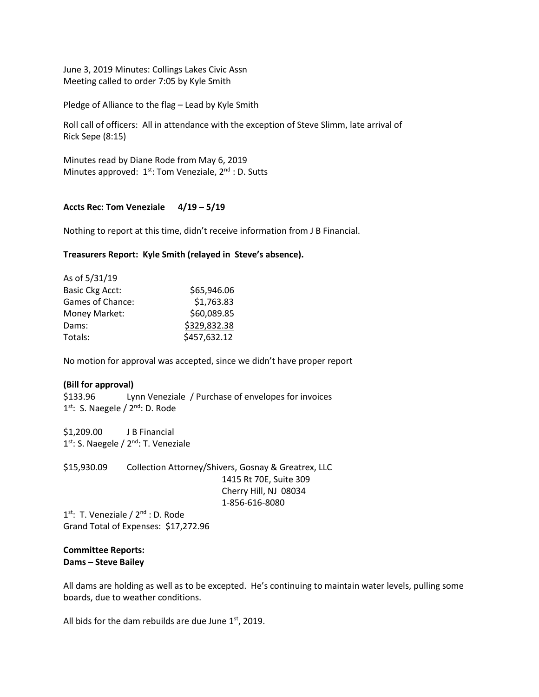June 3, 2019 Minutes: Collings Lakes Civic Assn Meeting called to order 7:05 by Kyle Smith

Pledge of Alliance to the flag – Lead by Kyle Smith

Roll call of officers: All in attendance with the exception of Steve Slimm, late arrival of Rick Sepe (8:15)

Minutes read by Diane Rode from May 6, 2019 Minutes approved:  $1^{st}$ : Tom Veneziale,  $2^{nd}$ : D. Sutts

# **Accts Rec: Tom Veneziale 4/19 – 5/19**

Nothing to report at this time, didn't receive information from J B Financial.

# **Treasurers Report: Kyle Smith (relayed in Steve's absence).**

| As of 5/31/19          |              |
|------------------------|--------------|
| <b>Basic Ckg Acct:</b> | \$65,946.06  |
| Games of Chance:       | \$1,763.83   |
| Money Market:          | \$60,089.85  |
| Dams:                  | \$329,832.38 |
| Totals:                | \$457,632.12 |

No motion for approval was accepted, since we didn't have proper report

### **(Bill for approval)**

\$133.96 Lynn Veneziale / Purchase of envelopes for invoices 1<sup>st</sup>: S. Naegele / 2<sup>nd</sup>: D. Rode

\$1,209.00 J B Financial 1<sup>st</sup>: S. Naegele / 2<sup>nd</sup>: T. Veneziale

\$15,930.09 Collection Attorney/Shivers, Gosnay & Greatrex, LLC 1415 Rt 70E, Suite 309 Cherry Hill, NJ 08034 1-856-616-8080

1<sup>st</sup>: T. Veneziale / 2<sup>nd</sup> : D. Rode Grand Total of Expenses: \$17,272.96

# **Committee Reports: Dams – Steve Bailey**

All dams are holding as well as to be excepted. He's continuing to maintain water levels, pulling some boards, due to weather conditions.

All bids for the dam rebuilds are due June  $1<sup>st</sup>$ , 2019.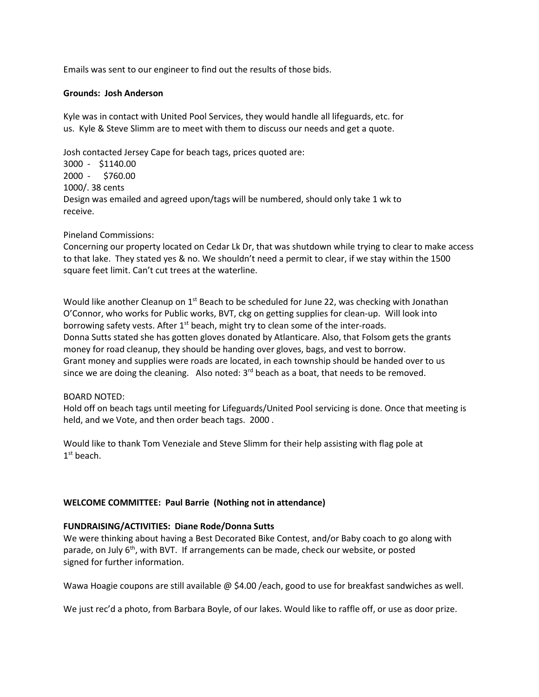Emails was sent to our engineer to find out the results of those bids.

### **Grounds: Josh Anderson**

Kyle was in contact with United Pool Services, they would handle all lifeguards, etc. for us. Kyle & Steve Slimm are to meet with them to discuss our needs and get a quote.

Josh contacted Jersey Cape for beach tags, prices quoted are: 3000 - \$1140.00 2000 - \$760.00 1000/. 38 cents Design was emailed and agreed upon/tags will be numbered, should only take 1 wk to receive.

# Pineland Commissions:

Concerning our property located on Cedar Lk Dr, that was shutdown while trying to clear to make access to that lake. They stated yes & no. We shouldn't need a permit to clear, if we stay within the 1500 square feet limit. Can't cut trees at the waterline.

Would like another Cleanup on  $1<sup>st</sup>$  Beach to be scheduled for June 22, was checking with Jonathan O'Connor, who works for Public works, BVT, ckg on getting supplies for clean-up. Will look into borrowing safety vests. After  $1<sup>st</sup>$  beach, might try to clean some of the inter-roads. Donna Sutts stated she has gotten gloves donated by Atlanticare. Also, that Folsom gets the grants money for road cleanup, they should be handing over gloves, bags, and vest to borrow. Grant money and supplies were roads are located, in each township should be handed over to us since we are doing the cleaning. Also noted:  $3<sup>rd</sup>$  beach as a boat, that needs to be removed.

### BOARD NOTED:

Hold off on beach tags until meeting for Lifeguards/United Pool servicing is done. Once that meeting is held, and we Vote, and then order beach tags. 2000 .

Would like to thank Tom Veneziale and Steve Slimm for their help assisting with flag pole at 1<sup>st</sup> beach.

# **WELCOME COMMITTEE: Paul Barrie (Nothing not in attendance)**

### **FUNDRAISING/ACTIVITIES: Diane Rode/Donna Sutts**

We were thinking about having a Best Decorated Bike Contest, and/or Baby coach to go along with parade, on July 6<sup>th</sup>, with BVT. If arrangements can be made, check our website, or posted signed for further information.

Wawa Hoagie coupons are still available @ \$4.00 /each, good to use for breakfast sandwiches as well.

We just rec'd a photo, from Barbara Boyle, of our lakes. Would like to raffle off, or use as door prize.